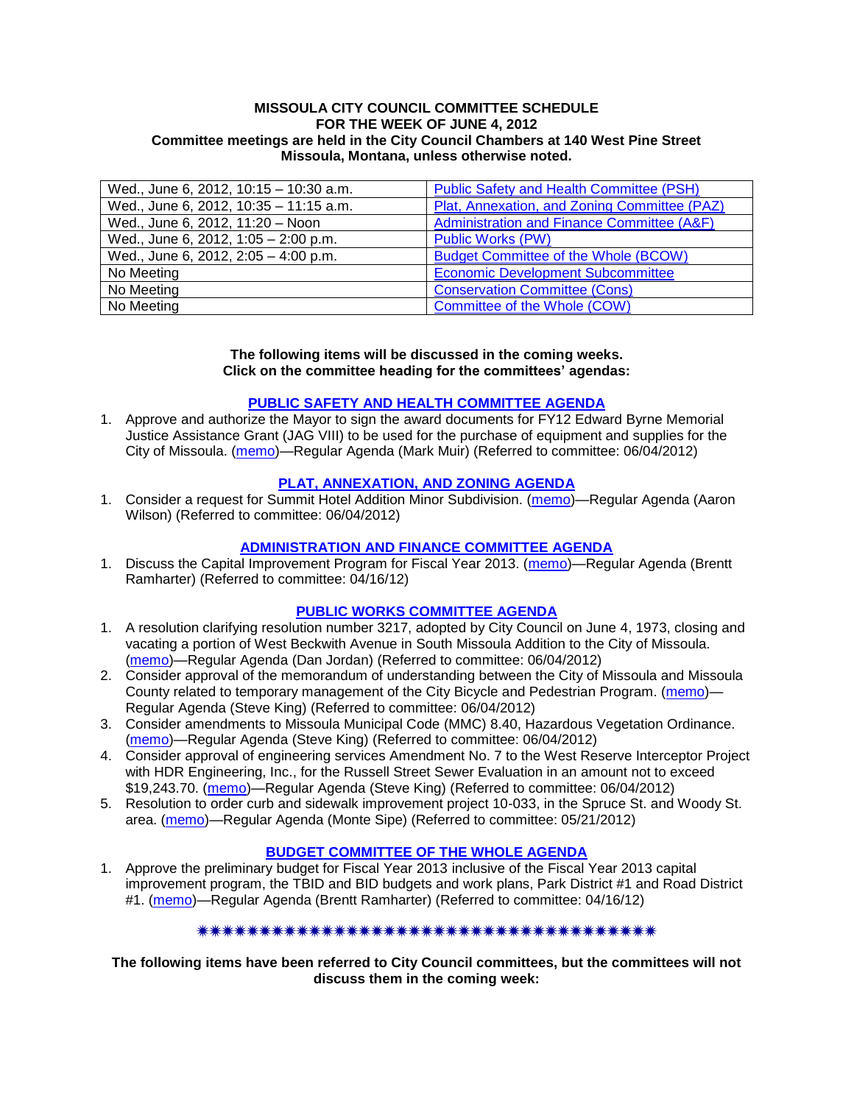#### **MISSOULA CITY COUNCIL COMMITTEE SCHEDULE FOR THE WEEK OF JUNE 4, 2012 Committee meetings are held in the City Council Chambers at 140 West Pine Street Missoula, Montana, unless otherwise noted.**

| Wed., June 6, 2012, 10:15 - 10:30 a.m. | Public Safety and Health Committee (PSH)     |
|----------------------------------------|----------------------------------------------|
| Wed., June 6, 2012, 10:35 - 11:15 a.m. | Plat, Annexation, and Zoning Committee (PAZ) |
| Wed., June 6, 2012, 11:20 - Noon       | Administration and Finance Committee (A&F)   |
| Wed., June 6, 2012, 1:05 - 2:00 p.m.   | <b>Public Works (PW)</b>                     |
| Wed., June 6, 2012, 2:05 - 4:00 p.m.   | <b>Budget Committee of the Whole (BCOW)</b>  |
| No Meeting                             | <b>Economic Development Subcommittee</b>     |
| No Meeting                             | <b>Conservation Committee (Cons)</b>         |
| No Meeting                             | Committee of the Whole (COW)                 |

#### **The following items will be discussed in the coming weeks. Click on the committee heading for the committees' agendas:**

### **[PUBLIC SAFETY AND HEALTH COMMITTEE](http://www.ci.missoula.mt.us/DocumentCenterii.aspx?FID=836) AGENDA**

1. Approve and authorize the Mayor to sign the award documents for FY12 Edward Byrne Memorial Justice Assistance Grant (JAG VIII) to be used for the purchase of equipment and supplies for the City of Missoula. [\(memo\)](http://www.ci.missoula.mt.us/DocumentCenter/Home/View/19670)—Regular Agenda (Mark Muir) (Referred to committee: 06/04/2012)

## **[PLAT, ANNEXATION, AND ZONING AGENDA](http://www.ci.missoula.mt.us/DocumentCenterii.aspx?FID=831)**

1. Consider a request for Summit Hotel Addition Minor Subdivision. [\(memo\)](http://www.ci.missoula.mt.us/DocumentCenter/Home/View/19821)—Regular Agenda (Aaron Wilson) (Referred to committee: 06/04/2012)

# **[ADMINISTRATION AND FINANCE COMMITTEE AGENDA](http://www.ci.missoula.mt.us/DocumentCenterii.aspx?FID=830)**

1. Discuss the Capital Improvement Program for Fiscal Year 2013. [\(memo\)](http://www.ci.missoula.mt.us/DocumentCenter/Home/View/18840)—Regular Agenda (Brentt Ramharter) (Referred to committee: 04/16/12)

### **[PUBLIC WORKS COMMITTEE AGENDA](http://www.ci.missoula.mt.us/DocumentCenterii.aspx?FID=833)**

- 1. A resolution clarifying resolution number 3217, adopted by City Council on June 4, 1973, closing and vacating a portion of West Beckwith Avenue in South Missoula Addition to the City of Missoula. [\(memo\)](http://www.ci.missoula.mt.us/DocumentCenter/Home/View/19822)—Regular Agenda (Dan Jordan) (Referred to committee: 06/04/2012)
- 2. Consider approval of the memorandum of understanding between the City of Missoula and Missoula County related to temporary management of the City Bicycle and Pedestrian Program. [\(memo\)](http://www.ci.missoula.mt.us/DocumentCenter/Home/View/19823)— Regular Agenda (Steve King) (Referred to committee: 06/04/2012)
- 3. Consider amendments to Missoula Municipal Code (MMC) 8.40, Hazardous Vegetation Ordinance. [\(memo\)](http://www.ci.missoula.mt.us/DocumentCenter/Home/View/19824)—Regular Agenda (Steve King) (Referred to committee: 06/04/2012)
- 4. Consider approval of engineering services Amendment No. 7 to the West Reserve Interceptor Project with HDR Engineering, Inc., for the Russell Street Sewer Evaluation in an amount not to exceed \$19,243.70. [\(memo\)](http://www.ci.missoula.mt.us/DocumentCenter/Home/View/19825)—Regular Agenda (Steve King) (Referred to committee: 06/04/2012)
- 5. Resolution to order curb and sidewalk improvement project 10-033, in the Spruce St. and Woody St. area. [\(memo\)](http://www.ci.missoula.mt.us/DocumentCenter/Home/View/19662)—Regular Agenda (Monte Sipe) (Referred to committee: 05/21/2012)

# **[BUDGET COMMITTEE OF THE WHOLE AGENDA](http://www.ci.missoula.mt.us/DocumentCenterii.aspx?FID=835)**

1. Approve the preliminary budget for Fiscal Year 2013 inclusive of the Fiscal Year 2013 capital improvement program, the TBID and BID budgets and work plans, Park District #1 and Road District #1. [\(memo\)](http://www.ci.missoula.mt.us/DocumentCenter/Home/View/18842)—Regular Agenda (Brentt Ramharter) (Referred to committee: 04/16/12)

#### 

**The following items have been referred to City Council committees, but the committees will not discuss them in the coming week:**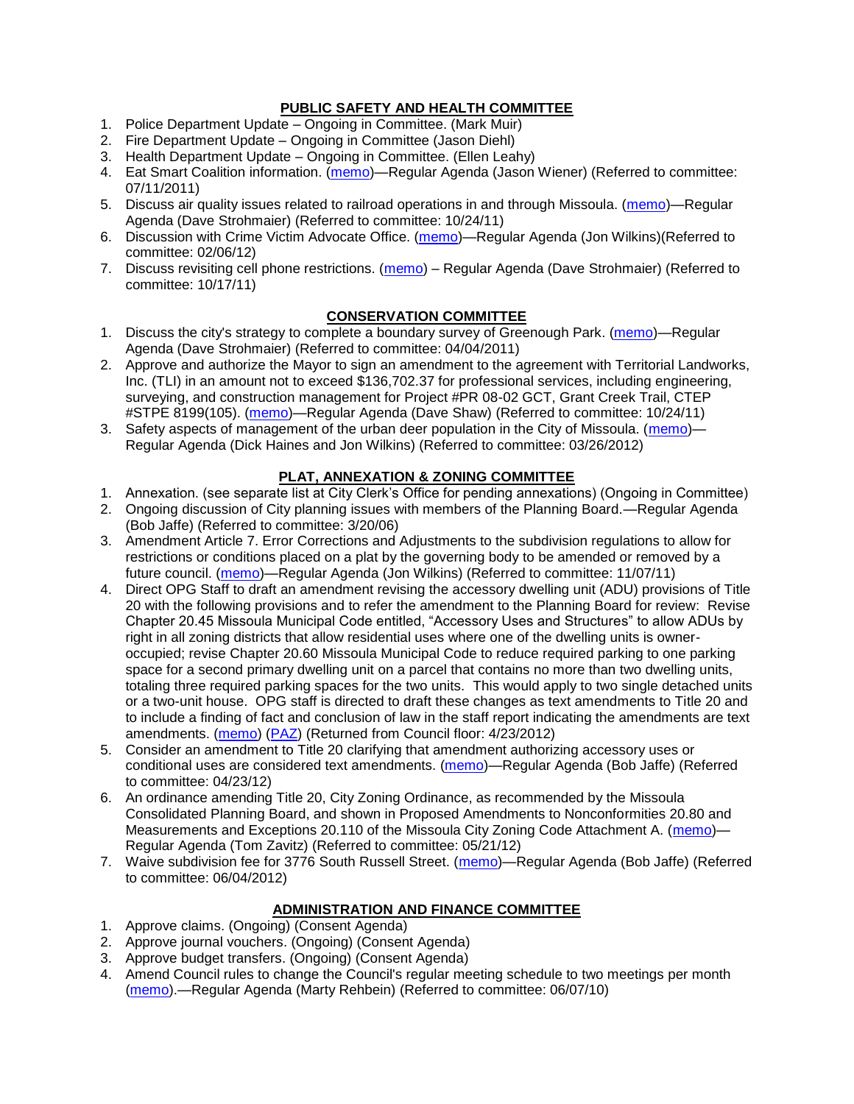# **PUBLIC SAFETY AND HEALTH COMMITTEE**

- 1. Police Department Update Ongoing in Committee. (Mark Muir)
- 2. Fire Department Update Ongoing in Committee (Jason Diehl)
- 3. Health Department Update Ongoing in Committee. (Ellen Leahy)
- 4. Eat Smart Coalition information. [\(memo\)](http://www.ci.missoula.mt.us/DocumentView.aspx?DID=6776)—Regular Agenda (Jason Wiener) (Referred to committee: 07/11/2011)
- 5. Discuss air quality issues related to railroad operations in and through Missoula. [\(memo\)](http://www.ci.missoula.mt.us/DocumentView.aspx?DID=7495)—Regular Agenda (Dave Strohmaier) (Referred to committee: 10/24/11)
- 6. Discussion with Crime Victim Advocate Office. [\(memo\)](http://www.ci.missoula.mt.us/DocumentView.aspx?DID=8109)—Regular Agenda (Jon Wilkins)(Referred to committee: 02/06/12)
- 7. Discuss revisiting cell phone restrictions. [\(memo\)](http://www.ci.missoula.mt.us/DocumentView.aspx?DID=7420) Regular Agenda (Dave Strohmaier) (Referred to committee: 10/17/11)

# **CONSERVATION COMMITTEE**

- 1. Discuss the city's strategy to complete a boundary survey of Greenough Park. [\(memo\)](http://www.ci.missoula.mt.us/DocumentView.aspx?DID=5875)—Regular Agenda (Dave Strohmaier) (Referred to committee: 04/04/2011)
- 2. Approve and authorize the Mayor to sign an amendment to the agreement with Territorial Landworks, Inc. (TLI) in an amount not to exceed \$136,702.37 for professional services, including engineering, surveying, and construction management for Project #PR 08-02 GCT, Grant Creek Trail, CTEP #STPE 8199(105). [\(memo\)](http://www.ci.missoula.mt.us/DocumentView.aspx?DID=7494)—Regular Agenda (Dave Shaw) (Referred to committee: 10/24/11)
- 3. Safety aspects of management of the urban deer population in the City of Missoula. [\(memo\)](http://www.ci.missoula.mt.us/DocumentView.aspx?DID=8528) Regular Agenda (Dick Haines and Jon Wilkins) (Referred to committee: 03/26/2012)

### **PLAT, ANNEXATION & ZONING COMMITTEE**

- 1. Annexation. (see separate list at City Clerk's Office for pending annexations) (Ongoing in Committee)
- 2. Ongoing discussion of City planning issues with members of the Planning Board.—Regular Agenda (Bob Jaffe) (Referred to committee: 3/20/06)
- 3. Amendment Article 7. Error Corrections and Adjustments to the subdivision regulations to allow for restrictions or conditions placed on a plat by the governing body to be amended or removed by a future council. [\(memo\)](http://www.ci.missoula.mt.us/DocumentView.aspx?DID=7568)—Regular Agenda (Jon Wilkins) (Referred to committee: 11/07/11)
- 4. Direct OPG Staff to draft an amendment revising the accessory dwelling unit (ADU) provisions of Title 20 with the following provisions and to refer the amendment to the Planning Board for review: Revise Chapter 20.45 Missoula Municipal Code entitled, "Accessory Uses and Structures" to allow ADUs by right in all zoning districts that allow residential uses where one of the dwelling units is owneroccupied; revise Chapter 20.60 Missoula Municipal Code to reduce required parking to one parking space for a second primary dwelling unit on a parcel that contains no more than two dwelling units, totaling three required parking spaces for the two units. This would apply to two single detached units or a two-unit house. OPG staff is directed to draft these changes as text amendments to Title 20 and to include a finding of fact and conclusion of law in the staff report indicating the amendments are text amendments. [\(memo\)](http://www.ci.missoula.mt.us/DocumentView.aspx?DID=8421) [\(PAZ\)](http://www.ci.missoula.mt.us/Archive.aspx?ADID=5370) (Returned from Council floor: 4/23/2012)
- 5. Consider an amendment to Title 20 clarifying that amendment authorizing accessory uses or conditional uses are considered text amendments. [\(memo\)](http://www.ci.missoula.mt.us/DocumentCenter/Home/View/19059)—Regular Agenda (Bob Jaffe) (Referred to committee: 04/23/12)
- 6. An ordinance amending Title 20, City Zoning Ordinance, as recommended by the Missoula Consolidated Planning Board, and shown in Proposed Amendments to Nonconformities 20.80 and Measurements and Exceptions 20.110 of the Missoula City Zoning Code Attachment A. [\(memo\)](http://www.ci.missoula.mt.us/DocumentCenter/Home/View/19667)— Regular Agenda (Tom Zavitz) (Referred to committee: 05/21/12)
- 7. Waive subdivision fee for 3776 South Russell Street. [\(memo\)](http://www.ci.missoula.mt.us/DocumentCenter/Home/View/19827)—Regular Agenda (Bob Jaffe) (Referred to committee: 06/04/2012)

### **ADMINISTRATION AND FINANCE COMMITTEE**

- 1. Approve claims. (Ongoing) (Consent Agenda)
- 2. Approve journal vouchers. (Ongoing) (Consent Agenda)
- 3. Approve budget transfers. (Ongoing) (Consent Agenda)
- 4. Amend Council rules to change the Council's regular meeting schedule to two meetings per month [\(memo\)](http://www.ci.missoula.mt.us/DocumentView.aspx?DID=4027).—Regular Agenda (Marty Rehbein) (Referred to committee: 06/07/10)